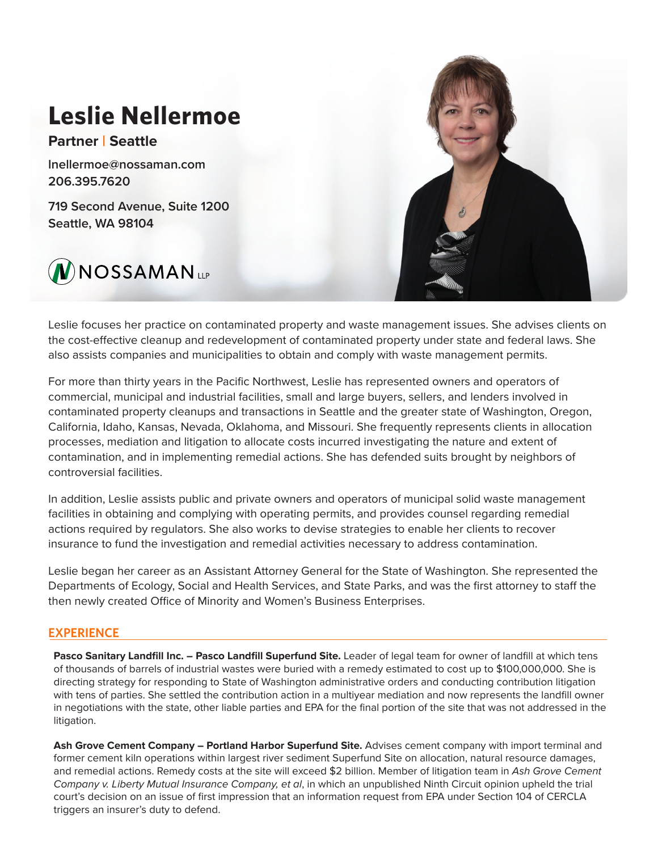

Leslie focuses her practice on contaminated property and waste management issues. She advises clients on the cost-effective cleanup and redevelopment of contaminated property under state and federal laws. She also assists companies and municipalities to obtain and comply with waste management permits.

For more than thirty years in the Pacific Northwest, Leslie has represented owners and operators of commercial, municipal and industrial facilities, small and large buyers, sellers, and lenders involved in contaminated property cleanups and transactions in Seattle and the greater state of Washington, Oregon, California, Idaho, Kansas, Nevada, Oklahoma, and Missouri. She frequently represents clients in allocation processes, mediation and litigation to allocate costs incurred investigating the nature and extent of contamination, and in implementing remedial actions. She has defended suits brought by neighbors of controversial facilities.

In addition, Leslie assists public and private owners and operators of municipal solid waste management facilities in obtaining and complying with operating permits, and provides counsel regarding remedial actions required by regulators. She also works to devise strategies to enable her clients to recover insurance to fund the investigation and remedial activities necessary to address contamination.

Leslie began her career as an Assistant Attorney General for the State of Washington. She represented the Departments of Ecology, Social and Health Services, and State Parks, and was the first attorney to staff the then newly created Office of Minority and Women's Business Enterprises.

# **EXPERIENCE**

Pasco Sanitary Landfill Inc. - Pasco Landfill Superfund Site. Leader of legal team for owner of landfill at which tens of thousands of barrels of industrial wastes were buried with a remedy estimated to cost up to \$100,000,000. She is directing strategy for responding to State of Washington administrative orders and conducting contribution litigation with tens of parties. She settled the contribution action in a multiyear mediation and now represents the landfill owner in negotiations with the state, other liable parties and EPA for the final portion of the site that was not addressed in the litigation.

**Ash Grove Cement Company – Portland Harbor Superfund Site.** Advises cement company with import terminal and former cement kiln operations within largest river sediment Superfund Site on allocation, natural resource damages, and remedial actions. Remedy costs at the site will exceed \$2 billion. Member of litigation team in *Ash Grove Cement Company v. Liberty Mutual Insurance Company, et al*, in which an unpublished Ninth Circuit opinion upheld the trial court's decision on an issue of first impression that an information request from EPA under Section 104 of CERCLA triggers an insurer's duty to defend.